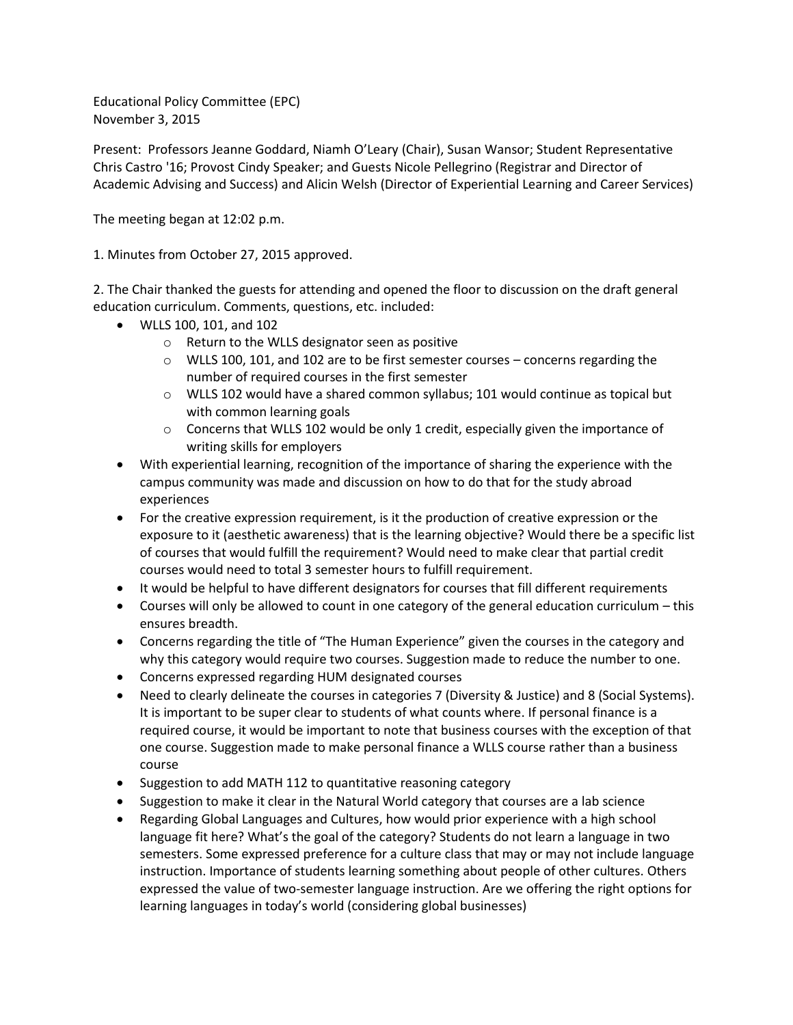Educational Policy Committee (EPC) November 3, 2015

Present: Professors Jeanne Goddard, Niamh O'Leary (Chair), Susan Wansor; Student Representative Chris Castro '16; Provost Cindy Speaker; and Guests Nicole Pellegrino (Registrar and Director of Academic Advising and Success) and Alicin Welsh (Director of Experiential Learning and Career Services)

The meeting began at 12:02 p.m.

1. Minutes from October 27, 2015 approved.

2. The Chair thanked the guests for attending and opened the floor to discussion on the draft general education curriculum. Comments, questions, etc. included:

- WLLS 100, 101, and 102
	- o Return to the WLLS designator seen as positive
	- o WLLS 100, 101, and 102 are to be first semester courses concerns regarding the number of required courses in the first semester
	- $\circ$  WLLS 102 would have a shared common syllabus; 101 would continue as topical but with common learning goals
	- $\circ$  Concerns that WLLS 102 would be only 1 credit, especially given the importance of writing skills for employers
- With experiential learning, recognition of the importance of sharing the experience with the campus community was made and discussion on how to do that for the study abroad experiences
- For the creative expression requirement, is it the production of creative expression or the exposure to it (aesthetic awareness) that is the learning objective? Would there be a specific list of courses that would fulfill the requirement? Would need to make clear that partial credit courses would need to total 3 semester hours to fulfill requirement.
- It would be helpful to have different designators for courses that fill different requirements
- Courses will only be allowed to count in one category of the general education curriculum this ensures breadth.
- Concerns regarding the title of "The Human Experience" given the courses in the category and why this category would require two courses. Suggestion made to reduce the number to one.
- Concerns expressed regarding HUM designated courses
- Need to clearly delineate the courses in categories 7 (Diversity & Justice) and 8 (Social Systems). It is important to be super clear to students of what counts where. If personal finance is a required course, it would be important to note that business courses with the exception of that one course. Suggestion made to make personal finance a WLLS course rather than a business course
- Suggestion to add MATH 112 to quantitative reasoning category
- Suggestion to make it clear in the Natural World category that courses are a lab science
- Regarding Global Languages and Cultures, how would prior experience with a high school language fit here? What's the goal of the category? Students do not learn a language in two semesters. Some expressed preference for a culture class that may or may not include language instruction. Importance of students learning something about people of other cultures. Others expressed the value of two-semester language instruction. Are we offering the right options for learning languages in today's world (considering global businesses)